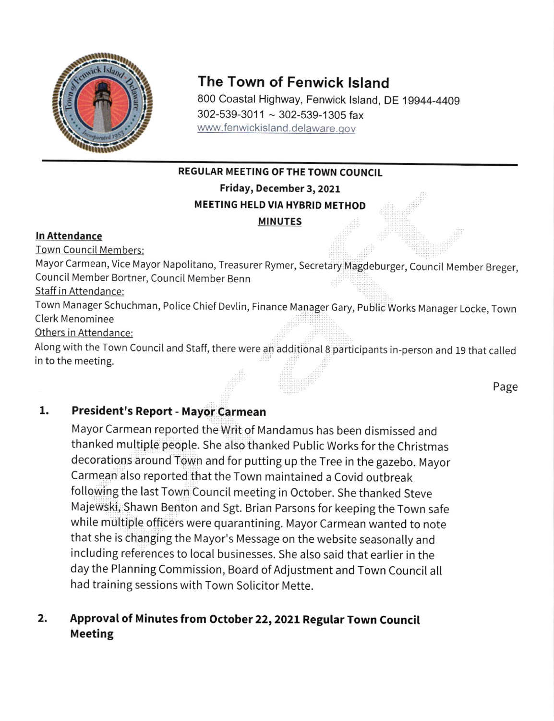

# The Town of Fenwick lsland

800 Coastal Highway, Fenwick lsland, DE 19944-4409  $302 - 539 - 3011 \sim 302 - 539 - 1305$  fax www.fenwickisland.delaware.gov

## REGULAR MEETING OF THE TOWN COUNCIL

Friday, December 3, 2021

## MEETING HELD VIA HYBRID METHOD

MINUTES

## ln Attendance

Town CounciI Members:

Mayor Carmean, Vice Mayor Napolitano, Treasurer Rymer, Secretary Magdeburger, CounciI Member Breger, Council Member Bortner, Council Member Benn

Staff in Attendance:

Town Manager Schuchman, Police Chief Devlin, Finance Manager Gary, Public Works Manager Locke, Town **Clerk Menominee** 

Others in Attendance:

Along with the Town Council and Staff, there were an additional 8 participants in-person and 19 that called in to the meeting.

Page

### President's Report - Mayor Carmean I

Mayor Carmean reported the Writ of Mandamus has been dismissed and thanked muttiple people. She also thanked public Works for the Christmas decorations around Town and for putting up the Tree in the gazebo. Mayor Carmean also reported that the Town maintained a Covid outbreak fotlowing the last Town Council meeting in October. She thanked Steve Majewski, Shawn Benton and Sgt. Brian Parsons for keeping the Town safe while multiple officers were quarantining. Mayor Carmean wanted to note that she is changing the Mayor's Message on the website seasonally and including references to local businesses. She also said that earlier in the day the Planning Commission, Board of Adjustment and Town Council all had training sessions with Town Solicitor Mette.

### Approval of Minutes from October 22,2021 Regular Town Council Meeting  $2.$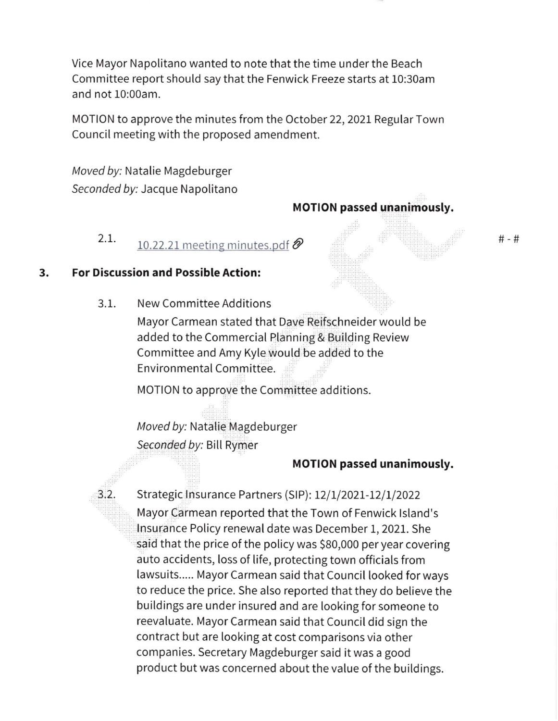Vice Mayor Napolitano wanted to note that the time under the Beach Committee report should say that the Fenwick Freeze starts at 10:30am and not 10:00am.

MOTION to approve the minutes from the October 22, 2021 Regular Town CounciI meeting with the proposed amendment.

Moved by: Natalie Magdeburger Seconded by: Jacque Napolitano

## MOTION passed unanimously.

2.1.  $10.22.21$  meeting minutes.pdf  $\bigotimes$ 

## 3. For Discussion and Possible Action:

 $3.2.$ 

New Committee Additions 3.1.

> Mayor Carmean stated that Dave Reifschneider would be added to the Commercial Planning & Building Review Committee and Amy Kyle woutd be added to the Environmental Committee.

MOTION to approve the Committee additions.

Moved by: Natalie Magdeburger Seconded by: Bill Rymer

## MOTION passed unanimously.

Strategic Insurance Partners (SIP): 12/1/2021-12/1/2022 Mayor Carmean reported that the Town of Fenwick lsland's Insurance Policy renewal date was December 1, 2021. She said that the price of the policy was 580,000 per year covering auto accidents, loss of life, protecting town officials from lawsuits..... Mayor Carmean said that Council looked for ways to reduce the price. She also reported that they do believe the buildings are under insured and are looking for someone to reevaluate. Mayor Carmean said that Council did sign the contract but are looking at cost comparisons via other companies. Secretary Magdeburger said it was a good product but was concerned about the value of the buildings.